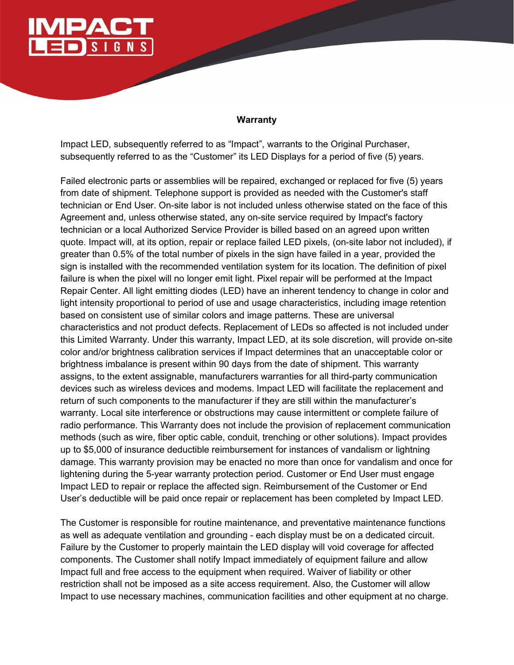

## **Warranty**

Impact LED, subsequently referred to as "Impact", warrants to the Original Purchaser, subsequently referred to as the "Customer" its LED Displays for a period of five (5) years.

Failed electronic parts or assemblies will be repaired, exchanged or replaced for five (5) years from date of shipment. Telephone support is provided as needed with the Customer's staff technician or End User. On-site labor is not included unless otherwise stated on the face of this Agreement and, unless otherwise stated, any on-site service required by Impact's factory technician or a local Authorized Service Provider is billed based on an agreed upon written quote. Impact will, at its option, repair or replace failed LED pixels, (on-site labor not included), if greater than 0.5% of the total number of pixels in the sign have failed in a year, provided the sign is installed with the recommended ventilation system for its location. The definition of pixel failure is when the pixel will no longer emit light. Pixel repair will be performed at the Impact Repair Center. All light emitting diodes (LED) have an inherent tendency to change in color and light intensity proportional to period of use and usage characteristics, including image retention based on consistent use of similar colors and image patterns. These are universal characteristics and not product defects. Replacement of LEDs so affected is not included under this Limited Warranty. Under this warranty, Impact LED, at its sole discretion, will provide on-site color and/or brightness calibration services if Impact determines that an unacceptable color or brightness imbalance is present within 90 days from the date of shipment. This warranty assigns, to the extent assignable, manufacturers warranties for all third-party communication devices such as wireless devices and modems. Impact LED will facilitate the replacement and return of such components to the manufacturer if they are still within the manufacturer's warranty. Local site interference or obstructions may cause intermittent or complete failure of radio performance. This Warranty does not include the provision of replacement communication methods (such as wire, fiber optic cable, conduit, trenching or other solutions). Impact provides up to \$5,000 of insurance deductible reimbursement for instances of vandalism or lightning damage. This warranty provision may be enacted no more than once for vandalism and once for lightening during the 5-year warranty protection period. Customer or End User must engage Impact LED to repair or replace the affected sign. Reimbursement of the Customer or End User's deductible will be paid once repair or replacement has been completed by Impact LED.

The Customer is responsible for routine maintenance, and preventative maintenance functions as well as adequate ventilation and grounding - each display must be on a dedicated circuit. Failure by the Customer to properly maintain the LED display will void coverage for affected components. The Customer shall notify Impact immediately of equipment failure and allow Impact full and free access to the equipment when required. Waiver of liability or other restriction shall not be imposed as a site access requirement. Also, the Customer will allow Impact to use necessary machines, communication facilities and other equipment at no charge.